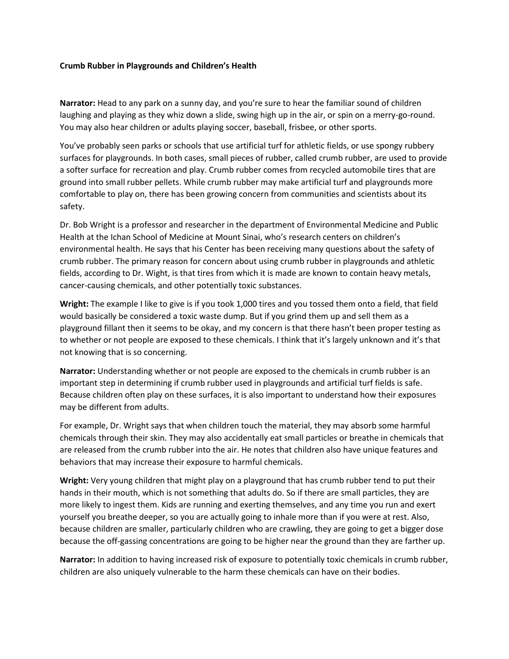## **Crumb Rubber in Playgrounds and Children's Health**

**Narrator:** Head to any park on a sunny day, and you're sure to hear the familiar sound of children laughing and playing as they whiz down a slide, swing high up in the air, or spin on a merry-go-round. You may also hear children or adults playing soccer, baseball, frisbee, or other sports.

You've probably seen parks or schools that use artificial turf for athletic fields, or use spongy rubbery surfaces for playgrounds. In both cases, small pieces of rubber, called crumb rubber, are used to provide a softer surface for recreation and play. Crumb rubber comes from recycled automobile tires that are ground into small rubber pellets. While crumb rubber may make artificial turf and playgrounds more comfortable to play on, there has been growing concern from communities and scientists about its safety.

Dr. Bob Wright is a professor and researcher in the department of Environmental Medicine and Public Health at the Ichan School of Medicine at Mount Sinai, who's research centers on children's environmental health. He says that his Center has been receiving many questions about the safety of crumb rubber. The primary reason for concern about using crumb rubber in playgrounds and athletic fields, according to Dr. Wight, is that tires from which it is made are known to contain heavy metals, cancer-causing chemicals, and other potentially toxic substances.

**Wright:** The example I like to give is if you took 1,000 tires and you tossed them onto a field, that field would basically be considered a toxic waste dump. But if you grind them up and sell them as a playground fillant then it seems to be okay, and my concern is that there hasn't been proper testing as to whether or not people are exposed to these chemicals. I think that it's largely unknown and it's that not knowing that is so concerning.

**Narrator:** Understanding whether or not people are exposed to the chemicals in crumb rubber is an important step in determining if crumb rubber used in playgrounds and artificial turf fields is safe. Because children often play on these surfaces, it is also important to understand how their exposures may be different from adults.

For example, Dr. Wright says that when children touch the material, they may absorb some harmful chemicals through their skin. They may also accidentally eat small particles or breathe in chemicals that are released from the crumb rubber into the air. He notes that children also have unique features and behaviors that may increase their exposure to harmful chemicals.

**Wright:** Very young children that might play on a playground that has crumb rubber tend to put their hands in their mouth, which is not something that adults do. So if there are small particles, they are more likely to ingest them. Kids are running and exerting themselves, and any time you run and exert yourself you breathe deeper, so you are actually going to inhale more than if you were at rest. Also, because children are smaller, particularly children who are crawling, they are going to get a bigger dose because the off-gassing concentrations are going to be higher near the ground than they are farther up.

**Narrator:** In addition to having increased risk of exposure to potentially toxic chemicals in crumb rubber, children are also uniquely vulnerable to the harm these chemicals can have on their bodies.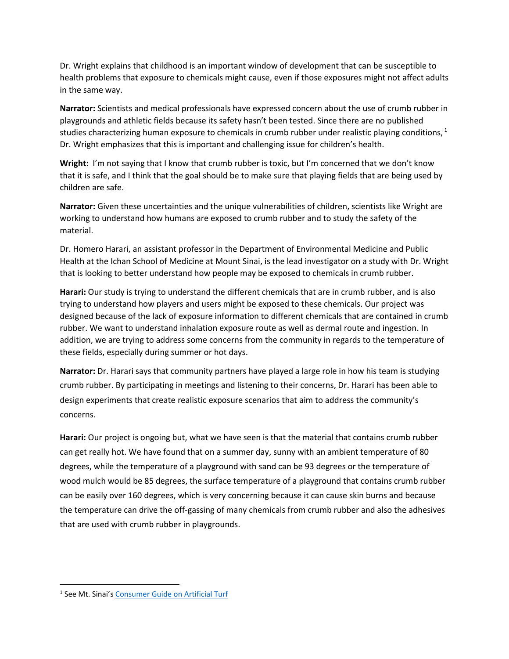Dr. Wright explains that childhood is an important window of development that can be susceptible to health problems that exposure to chemicals might cause, even if those exposures might not affect adults in the same way.

**Narrator:** Scientists and medical professionals have expressed concern about the use of crumb rubber in playgrounds and athletic fields because its safety hasn't been tested. Since there are no published studies characterizing human exposure to chemicals in crumb rubber under realistic playing conditions,  $1$ Dr. Wright emphasizes that this is important and challenging issue for children's health.

**Wright:** I'm not saying that I know that crumb rubber is toxic, but I'm concerned that we don't know that it is safe, and I think that the goal should be to make sure that playing fields that are being used by children are safe.

**Narrator:** Given these uncertainties and the unique vulnerabilities of children, scientists like Wright are working to understand how humans are exposed to crumb rubber and to study the safety of the material.

Dr. Homero Harari, an assistant professor in the Department of Environmental Medicine and Public Health at the Ichan School of Medicine at Mount Sinai, is the lead investigator on a study with Dr. Wright that is looking to better understand how people may be exposed to chemicals in crumb rubber.

**Harari:** Our study is trying to understand the different chemicals that are in crumb rubber, and is also trying to understand how players and users might be exposed to these chemicals. Our project was designed because of the lack of exposure information to different chemicals that are contained in crumb rubber. We want to understand inhalation exposure route as well as dermal route and ingestion. In addition, we are trying to address some concerns from the community in regards to the temperature of these fields, especially during summer or hot days.

**Narrator:** Dr. Harari says that community partners have played a large role in how his team is studying crumb rubber. By participating in meetings and listening to their concerns, Dr. Harari has been able to design experiments that create realistic exposure scenarios that aim to address the community's concerns.

**Harari:** Our project is ongoing but, what we have seen is that the material that contains crumb rubber can get really hot. We have found that on a summer day, sunny with an ambient temperature of 80 degrees, while the temperature of a playground with sand can be 93 degrees or the temperature of wood mulch would be 85 degrees, the surface temperature of a playground that contains crumb rubber can be easily over 160 degrees, which is very concerning because it can cause skin burns and because the temperature can drive the off-gassing of many chemicals from crumb rubber and also the adhesives that are used with crumb rubber in playgrounds.

 $\overline{a}$ 

<sup>&</sup>lt;sup>1</sup> See Mt. Sinai's <u>[Consumer Guide on Artificial Turf](http://icahn.mssm.edu/files/ISMMS/Assets/Departments/Environmental%20Medicine%20and%20Public%20Health/CEHC%20Position%20Statement%20on%20Recycled%20Rubber%20Turf%20Surfaces%20May%2010%202017.pdf)</u>